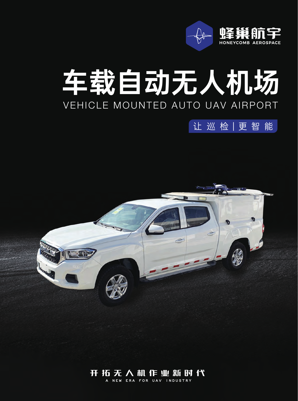

# VEHICLE MOUNTED AUTO UAV AIRPORT 车载自动无人机场

让巡检|更智能



# 开拓无人机作业新时代

**A NEW ERA FOR UAV INDUSTRY**